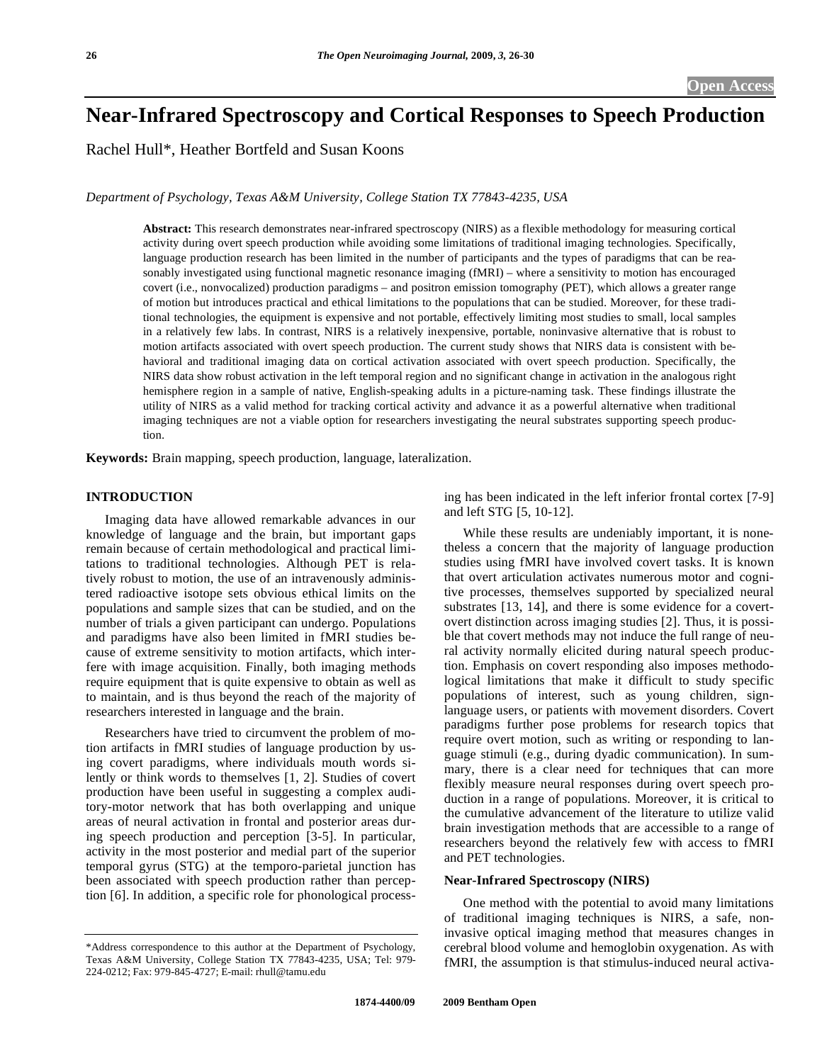# **Near-Infrared Spectroscopy and Cortical Responses to Speech Production**

Rachel Hull\*, Heather Bortfeld and Susan Koons

*Department of Psychology, Texas A&M University, College Station TX 77843-4235, USA* 

**Abstract:** This research demonstrates near-infrared spectroscopy (NIRS) as a flexible methodology for measuring cortical activity during overt speech production while avoiding some limitations of traditional imaging technologies. Specifically, language production research has been limited in the number of participants and the types of paradigms that can be reasonably investigated using functional magnetic resonance imaging (fMRI) – where a sensitivity to motion has encouraged covert (i.e., nonvocalized) production paradigms – and positron emission tomography (PET), which allows a greater range of motion but introduces practical and ethical limitations to the populations that can be studied. Moreover, for these traditional technologies, the equipment is expensive and not portable, effectively limiting most studies to small, local samples in a relatively few labs. In contrast, NIRS is a relatively inexpensive, portable, noninvasive alternative that is robust to motion artifacts associated with overt speech production. The current study shows that NIRS data is consistent with behavioral and traditional imaging data on cortical activation associated with overt speech production. Specifically, the NIRS data show robust activation in the left temporal region and no significant change in activation in the analogous right hemisphere region in a sample of native, English-speaking adults in a picture-naming task. These findings illustrate the utility of NIRS as a valid method for tracking cortical activity and advance it as a powerful alternative when traditional imaging techniques are not a viable option for researchers investigating the neural substrates supporting speech production.

**Keywords:** Brain mapping, speech production, language, lateralization.

## **INTRODUCTION**

 Imaging data have allowed remarkable advances in our knowledge of language and the brain, but important gaps remain because of certain methodological and practical limitations to traditional technologies. Although PET is relatively robust to motion, the use of an intravenously administered radioactive isotope sets obvious ethical limits on the populations and sample sizes that can be studied, and on the number of trials a given participant can undergo. Populations and paradigms have also been limited in fMRI studies because of extreme sensitivity to motion artifacts, which interfere with image acquisition. Finally, both imaging methods require equipment that is quite expensive to obtain as well as to maintain, and is thus beyond the reach of the majority of researchers interested in language and the brain.

 Researchers have tried to circumvent the problem of motion artifacts in fMRI studies of language production by using covert paradigms, where individuals mouth words silently or think words to themselves [1, 2]. Studies of covert production have been useful in suggesting a complex auditory-motor network that has both overlapping and unique areas of neural activation in frontal and posterior areas during speech production and perception [3-5]. In particular, activity in the most posterior and medial part of the superior temporal gyrus (STG) at the temporo-parietal junction has been associated with speech production rather than perception [6]. In addition, a specific role for phonological processing has been indicated in the left inferior frontal cortex [7-9] and left STG [5, 10-12].

 While these results are undeniably important, it is nonetheless a concern that the majority of language production studies using fMRI have involved covert tasks. It is known that overt articulation activates numerous motor and cognitive processes, themselves supported by specialized neural substrates [13, 14], and there is some evidence for a covertovert distinction across imaging studies [2]. Thus, it is possible that covert methods may not induce the full range of neural activity normally elicited during natural speech production. Emphasis on covert responding also imposes methodological limitations that make it difficult to study specific populations of interest, such as young children, signlanguage users, or patients with movement disorders. Covert paradigms further pose problems for research topics that require overt motion, such as writing or responding to language stimuli (e.g., during dyadic communication). In summary, there is a clear need for techniques that can more flexibly measure neural responses during overt speech production in a range of populations. Moreover, it is critical to the cumulative advancement of the literature to utilize valid brain investigation methods that are accessible to a range of researchers beyond the relatively few with access to fMRI and PET technologies.

# **Near-Infrared Spectroscopy (NIRS)**

 One method with the potential to avoid many limitations of traditional imaging techniques is NIRS, a safe, noninvasive optical imaging method that measures changes in cerebral blood volume and hemoglobin oxygenation. As with fMRI, the assumption is that stimulus-induced neural activa-

<sup>\*</sup>Address correspondence to this author at the Department of Psychology, Texas A&M University, College Station TX 77843-4235, USA; Tel: 979- 224-0212; Fax: 979-845-4727; E-mail: rhull@tamu.edu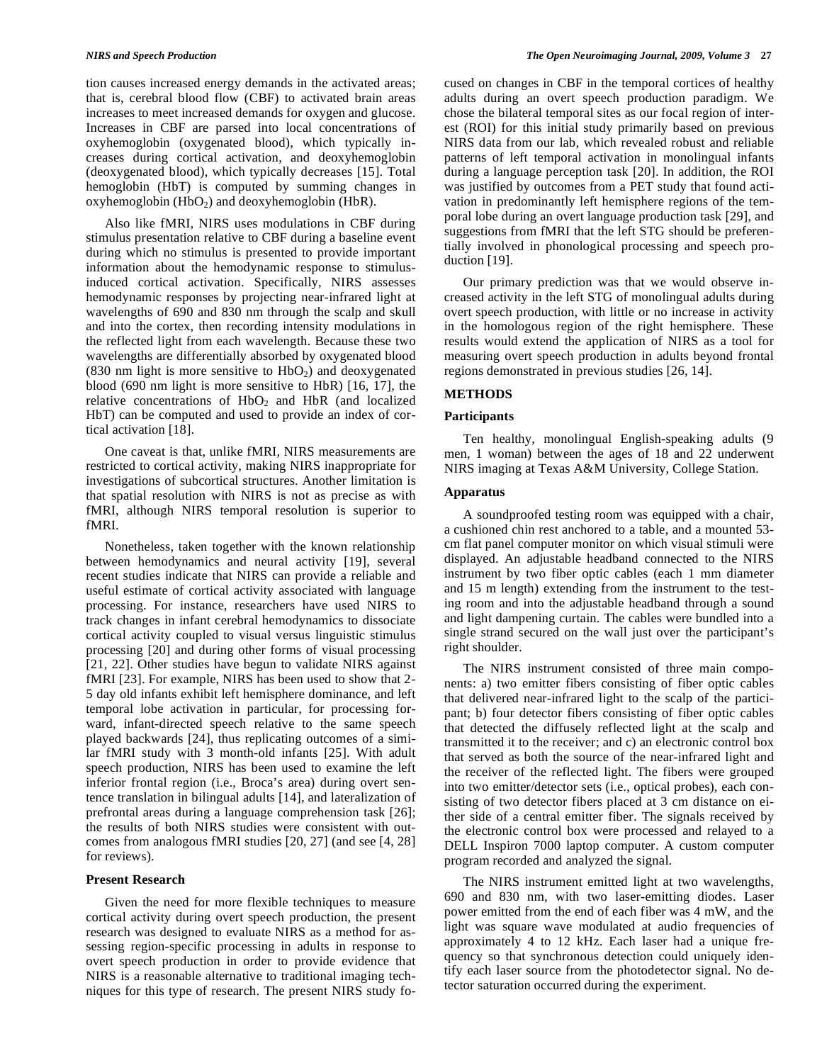tion causes increased energy demands in the activated areas; that is, cerebral blood flow (CBF) to activated brain areas increases to meet increased demands for oxygen and glucose. Increases in CBF are parsed into local concentrations of oxyhemoglobin (oxygenated blood), which typically increases during cortical activation, and deoxyhemoglobin (deoxygenated blood), which typically decreases [15]. Total hemoglobin (HbT) is computed by summing changes in oxyhemoglobin  $(HbO<sub>2</sub>)$  and deoxyhemoglobin (HbR).

 Also like fMRI, NIRS uses modulations in CBF during stimulus presentation relative to CBF during a baseline event during which no stimulus is presented to provide important information about the hemodynamic response to stimulusinduced cortical activation. Specifically, NIRS assesses hemodynamic responses by projecting near-infrared light at wavelengths of 690 and 830 nm through the scalp and skull and into the cortex, then recording intensity modulations in the reflected light from each wavelength. Because these two wavelengths are differentially absorbed by oxygenated blood (830 nm light is more sensitive to  $HbO<sub>2</sub>$ ) and deoxygenated blood (690 nm light is more sensitive to HbR) [16, 17], the relative concentrations of  $HbO<sub>2</sub>$  and  $HbR$  (and localized HbT) can be computed and used to provide an index of cortical activation [18].

 One caveat is that, unlike fMRI, NIRS measurements are restricted to cortical activity, making NIRS inappropriate for investigations of subcortical structures. Another limitation is that spatial resolution with NIRS is not as precise as with fMRI, although NIRS temporal resolution is superior to fMRI.

 Nonetheless, taken together with the known relationship between hemodynamics and neural activity [19], several recent studies indicate that NIRS can provide a reliable and useful estimate of cortical activity associated with language processing. For instance, researchers have used NIRS to track changes in infant cerebral hemodynamics to dissociate cortical activity coupled to visual versus linguistic stimulus processing [20] and during other forms of visual processing [21, 22]. Other studies have begun to validate NIRS against fMRI [23]. For example, NIRS has been used to show that 2- 5 day old infants exhibit left hemisphere dominance, and left temporal lobe activation in particular, for processing forward, infant-directed speech relative to the same speech played backwards [24], thus replicating outcomes of a similar fMRI study with 3 month-old infants [25]. With adult speech production, NIRS has been used to examine the left inferior frontal region (i.e., Broca's area) during overt sentence translation in bilingual adults [14], and lateralization of prefrontal areas during a language comprehension task [26]; the results of both NIRS studies were consistent with outcomes from analogous fMRI studies [20, 27] (and see [4, 28] for reviews).

## **Present Research**

 Given the need for more flexible techniques to measure cortical activity during overt speech production, the present research was designed to evaluate NIRS as a method for assessing region-specific processing in adults in response to overt speech production in order to provide evidence that NIRS is a reasonable alternative to traditional imaging techniques for this type of research. The present NIRS study focused on changes in CBF in the temporal cortices of healthy adults during an overt speech production paradigm. We chose the bilateral temporal sites as our focal region of interest (ROI) for this initial study primarily based on previous NIRS data from our lab, which revealed robust and reliable patterns of left temporal activation in monolingual infants during a language perception task [20]. In addition, the ROI was justified by outcomes from a PET study that found activation in predominantly left hemisphere regions of the temporal lobe during an overt language production task [29], and suggestions from fMRI that the left STG should be preferentially involved in phonological processing and speech production [19].

 Our primary prediction was that we would observe increased activity in the left STG of monolingual adults during overt speech production, with little or no increase in activity in the homologous region of the right hemisphere. These results would extend the application of NIRS as a tool for measuring overt speech production in adults beyond frontal regions demonstrated in previous studies [26, 14].

#### **METHODS**

#### **Participants**

 Ten healthy, monolingual English-speaking adults (9 men, 1 woman) between the ages of 18 and 22 underwent NIRS imaging at Texas A&M University, College Station.

### **Apparatus**

 A soundproofed testing room was equipped with a chair, a cushioned chin rest anchored to a table, and a mounted 53 cm flat panel computer monitor on which visual stimuli were displayed. An adjustable headband connected to the NIRS instrument by two fiber optic cables (each 1 mm diameter and 15 m length) extending from the instrument to the testing room and into the adjustable headband through a sound and light dampening curtain. The cables were bundled into a single strand secured on the wall just over the participant's right shoulder.

 The NIRS instrument consisted of three main components: a) two emitter fibers consisting of fiber optic cables that delivered near-infrared light to the scalp of the participant; b) four detector fibers consisting of fiber optic cables that detected the diffusely reflected light at the scalp and transmitted it to the receiver; and c) an electronic control box that served as both the source of the near-infrared light and the receiver of the reflected light. The fibers were grouped into two emitter/detector sets (i.e., optical probes), each consisting of two detector fibers placed at 3 cm distance on either side of a central emitter fiber. The signals received by the electronic control box were processed and relayed to a DELL Inspiron 7000 laptop computer. A custom computer program recorded and analyzed the signal.

 The NIRS instrument emitted light at two wavelengths, 690 and 830 nm, with two laser-emitting diodes. Laser power emitted from the end of each fiber was 4 mW, and the light was square wave modulated at audio frequencies of approximately 4 to 12 kHz. Each laser had a unique frequency so that synchronous detection could uniquely identify each laser source from the photodetector signal. No detector saturation occurred during the experiment.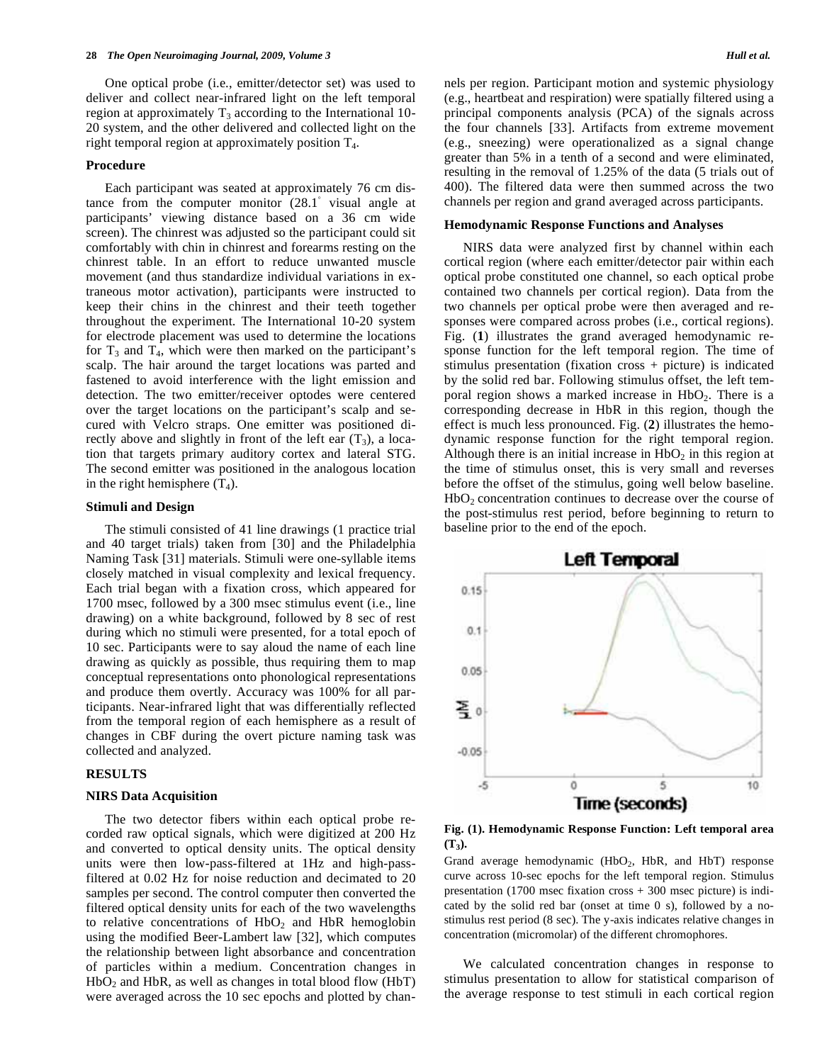One optical probe (i.e., emitter/detector set) was used to deliver and collect near-infrared light on the left temporal region at approximately  $T_3$  according to the International 10-20 system, and the other delivered and collected light on the right temporal region at approximately position T4.

#### **Procedure**

 Each participant was seated at approximately 76 cm distance from the computer monitor  $(28.1^{\circ}$  visual angle at participants' viewing distance based on a 36 cm wide screen). The chinrest was adjusted so the participant could sit comfortably with chin in chinrest and forearms resting on the chinrest table. In an effort to reduce unwanted muscle movement (and thus standardize individual variations in extraneous motor activation), participants were instructed to keep their chins in the chinrest and their teeth together throughout the experiment. The International 10-20 system for electrode placement was used to determine the locations for  $T_3$  and  $T_4$ , which were then marked on the participant's scalp. The hair around the target locations was parted and fastened to avoid interference with the light emission and detection. The two emitter/receiver optodes were centered over the target locations on the participant's scalp and secured with Velcro straps. One emitter was positioned directly above and slightly in front of the left ear  $(T_3)$ , a location that targets primary auditory cortex and lateral STG. The second emitter was positioned in the analogous location in the right hemisphere  $(T_4)$ .

## **Stimuli and Design**

 The stimuli consisted of 41 line drawings (1 practice trial and 40 target trials) taken from [30] and the Philadelphia Naming Task [31] materials. Stimuli were one-syllable items closely matched in visual complexity and lexical frequency. Each trial began with a fixation cross, which appeared for 1700 msec, followed by a 300 msec stimulus event (i.e., line drawing) on a white background, followed by 8 sec of rest during which no stimuli were presented, for a total epoch of 10 sec. Participants were to say aloud the name of each line drawing as quickly as possible, thus requiring them to map conceptual representations onto phonological representations and produce them overtly. Accuracy was 100% for all participants. Near-infrared light that was differentially reflected from the temporal region of each hemisphere as a result of changes in CBF during the overt picture naming task was collected and analyzed.

## **RESULTS**

#### **NIRS Data Acquisition**

 The two detector fibers within each optical probe recorded raw optical signals, which were digitized at 200 Hz and converted to optical density units. The optical density units were then low-pass-filtered at 1Hz and high-passfiltered at 0.02 Hz for noise reduction and decimated to 20 samples per second. The control computer then converted the filtered optical density units for each of the two wavelengths to relative concentrations of  $HbO<sub>2</sub>$  and  $HbR$  hemoglobin using the modified Beer-Lambert law [32], which computes the relationship between light absorbance and concentration of particles within a medium. Concentration changes in  $HbO<sub>2</sub>$  and HbR, as well as changes in total blood flow (HbT) were averaged across the 10 sec epochs and plotted by channels per region. Participant motion and systemic physiology (e.g., heartbeat and respiration) were spatially filtered using a principal components analysis (PCA) of the signals across the four channels [33]. Artifacts from extreme movement (e.g., sneezing) were operationalized as a signal change greater than 5% in a tenth of a second and were eliminated, resulting in the removal of 1.25% of the data (5 trials out of 400). The filtered data were then summed across the two channels per region and grand averaged across participants.

#### **Hemodynamic Response Functions and Analyses**

 NIRS data were analyzed first by channel within each cortical region (where each emitter/detector pair within each optical probe constituted one channel, so each optical probe contained two channels per cortical region). Data from the two channels per optical probe were then averaged and responses were compared across probes (i.e., cortical regions). Fig. (**1**) illustrates the grand averaged hemodynamic response function for the left temporal region. The time of stimulus presentation (fixation cross + picture) is indicated by the solid red bar. Following stimulus offset, the left temporal region shows a marked increase in  $HbO<sub>2</sub>$ . There is a corresponding decrease in HbR in this region, though the effect is much less pronounced. Fig. (**2**) illustrates the hemodynamic response function for the right temporal region. Although there is an initial increase in  $HbO<sub>2</sub>$  in this region at the time of stimulus onset, this is very small and reverses before the offset of the stimulus, going well below baseline.  $HbO<sub>2</sub>$  concentration continues to decrease over the course of the post-stimulus rest period, before beginning to return to baseline prior to the end of the epoch.



**Fig. (1). Hemodynamic Response Function: Left temporal area**   $(T_3)$ .

Grand average hemodynamic  $(HbO<sub>2</sub>, HbR, and HbT)$  response curve across 10-sec epochs for the left temporal region. Stimulus presentation (1700 msec fixation cross + 300 msec picture) is indicated by the solid red bar (onset at time 0 s), followed by a nostimulus rest period (8 sec). The y-axis indicates relative changes in concentration (micromolar) of the different chromophores.

 We calculated concentration changes in response to stimulus presentation to allow for statistical comparison of the average response to test stimuli in each cortical region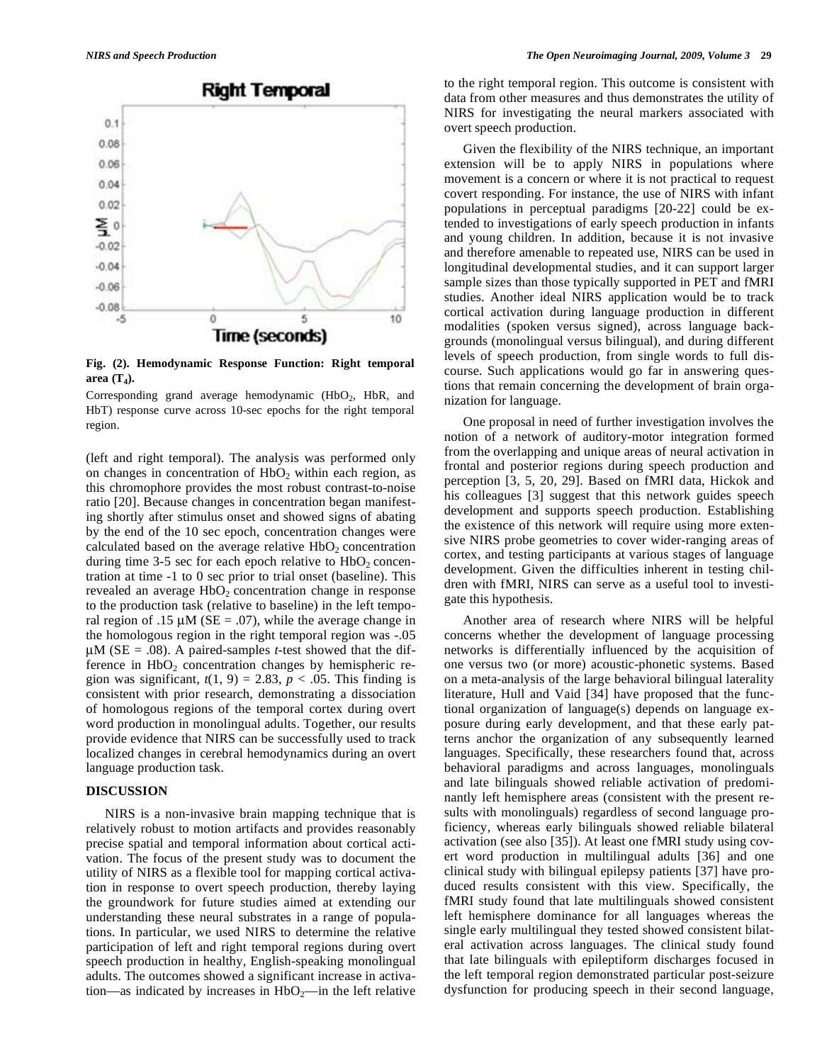

**Fig. (2). Hemodynamic Response Function: Right temporal area (T4).** 

Corresponding grand average hemodynamic (HbO<sub>2</sub>, HbR, and HbT) response curve across 10-sec epochs for the right temporal region.

(left and right temporal). The analysis was performed only on changes in concentration of  $HbO<sub>2</sub>$  within each region, as this chromophore provides the most robust contrast-to-noise ratio [20]. Because changes in concentration began manifesting shortly after stimulus onset and showed signs of abating by the end of the 10 sec epoch, concentration changes were calculated based on the average relative  $HbO<sub>2</sub>$  concentration during time 3-5 sec for each epoch relative to  $HbO<sub>2</sub>$  concentration at time -1 to 0 sec prior to trial onset (baseline). This revealed an average  $HbO<sub>2</sub>$  concentration change in response to the production task (relative to baseline) in the left temporal region of .15  $\mu$ M (SE = .07), while the average change in the homologous region in the right temporal region was -.05 μM (SE = .08). A paired-samples *t-*test showed that the difference in  $HbO<sub>2</sub>$  concentration changes by hemispheric region was significant,  $t(1, 9) = 2.83$ ,  $p < .05$ . This finding is consistent with prior research, demonstrating a dissociation of homologous regions of the temporal cortex during overt word production in monolingual adults. Together, our results provide evidence that NIRS can be successfully used to track localized changes in cerebral hemodynamics during an overt language production task.

## **DISCUSSION**

 NIRS is a non-invasive brain mapping technique that is relatively robust to motion artifacts and provides reasonably precise spatial and temporal information about cortical activation. The focus of the present study was to document the utility of NIRS as a flexible tool for mapping cortical activation in response to overt speech production, thereby laying the groundwork for future studies aimed at extending our understanding these neural substrates in a range of populations. In particular, we used NIRS to determine the relative participation of left and right temporal regions during overt speech production in healthy, English-speaking monolingual adults. The outcomes showed a significant increase in activation—as indicated by increases in  $HbO<sub>2</sub>$ —in the left relative

to the right temporal region. This outcome is consistent with data from other measures and thus demonstrates the utility of NIRS for investigating the neural markers associated with overt speech production.

 Given the flexibility of the NIRS technique, an important extension will be to apply NIRS in populations where movement is a concern or where it is not practical to request covert responding. For instance, the use of NIRS with infant populations in perceptual paradigms [20-22] could be extended to investigations of early speech production in infants and young children. In addition, because it is not invasive and therefore amenable to repeated use, NIRS can be used in longitudinal developmental studies, and it can support larger sample sizes than those typically supported in PET and fMRI studies. Another ideal NIRS application would be to track cortical activation during language production in different modalities (spoken versus signed), across language backgrounds (monolingual versus bilingual), and during different levels of speech production, from single words to full discourse. Such applications would go far in answering questions that remain concerning the development of brain organization for language.

 One proposal in need of further investigation involves the notion of a network of auditory-motor integration formed from the overlapping and unique areas of neural activation in frontal and posterior regions during speech production and perception [3, 5, 20, 29]. Based on fMRI data, Hickok and his colleagues [3] suggest that this network guides speech development and supports speech production. Establishing the existence of this network will require using more extensive NIRS probe geometries to cover wider-ranging areas of cortex, and testing participants at various stages of language development. Given the difficulties inherent in testing children with fMRI, NIRS can serve as a useful tool to investigate this hypothesis.

 Another area of research where NIRS will be helpful concerns whether the development of language processing networks is differentially influenced by the acquisition of one versus two (or more) acoustic-phonetic systems. Based on a meta-analysis of the large behavioral bilingual laterality literature, Hull and Vaid [34] have proposed that the functional organization of language(s) depends on language exposure during early development, and that these early patterns anchor the organization of any subsequently learned languages. Specifically, these researchers found that, across behavioral paradigms and across languages, monolinguals and late bilinguals showed reliable activation of predominantly left hemisphere areas (consistent with the present results with monolinguals) regardless of second language proficiency, whereas early bilinguals showed reliable bilateral activation (see also [35]). At least one fMRI study using covert word production in multilingual adults [36] and one clinical study with bilingual epilepsy patients [37] have produced results consistent with this view. Specifically, the fMRI study found that late multilinguals showed consistent left hemisphere dominance for all languages whereas the single early multilingual they tested showed consistent bilateral activation across languages. The clinical study found that late bilinguals with epileptiform discharges focused in the left temporal region demonstrated particular post-seizure dysfunction for producing speech in their second language,